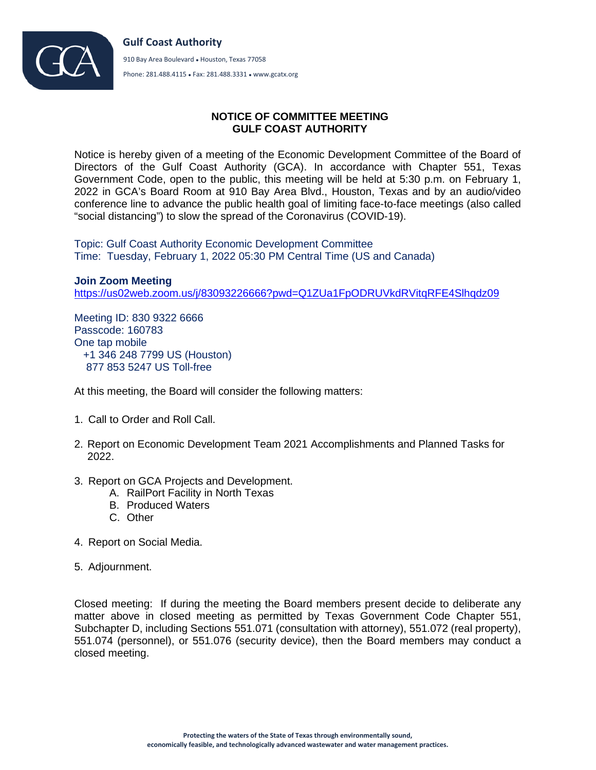

## **NOTICE OF COMMITTEE MEETING GULF COAST AUTHORITY**

Notice is hereby given of a meeting of the Economic Development Committee of the Board of Directors of the Gulf Coast Authority (GCA). In accordance with Chapter 551, Texas Government Code, open to the public, this meeting will be held at 5:30 p.m. on February 1, 2022 in GCA's Board Room at 910 Bay Area Blvd., Houston, Texas and by an audio/video conference line to advance the public health goal of limiting face-to-face meetings (also called "social distancing") to slow the spread of the Coronavirus (COVID-19).

Topic: Gulf Coast Authority Economic Development Committee Time: Tuesday, February 1, 2022 05:30 PM Central Time (US and Canada)

**Join Zoom Meeting** <https://us02web.zoom.us/j/83093226666?pwd=Q1ZUa1FpODRUVkdRVitqRFE4Slhqdz09>

Meeting ID: 830 9322 6666 Passcode: 160783 One tap mobile +1 346 248 7799 US (Houston) 877 853 5247 US Toll-free

At this meeting, the Board will consider the following matters:

- 1. Call to Order and Roll Call.
- 2. Report on Economic Development Team 2021 Accomplishments and Planned Tasks for 2022.
- 3. Report on GCA Projects and Development.
	- A. RailPort Facility in North Texas
	- B. Produced Waters
	- C. Other
- 4. Report on Social Media.
- 5. Adjournment.

Closed meeting: If during the meeting the Board members present decide to deliberate any matter above in closed meeting as permitted by Texas Government Code Chapter 551, Subchapter D, including Sections 551.071 (consultation with attorney), 551.072 (real property), 551.074 (personnel), or 551.076 (security device), then the Board members may conduct a closed meeting.